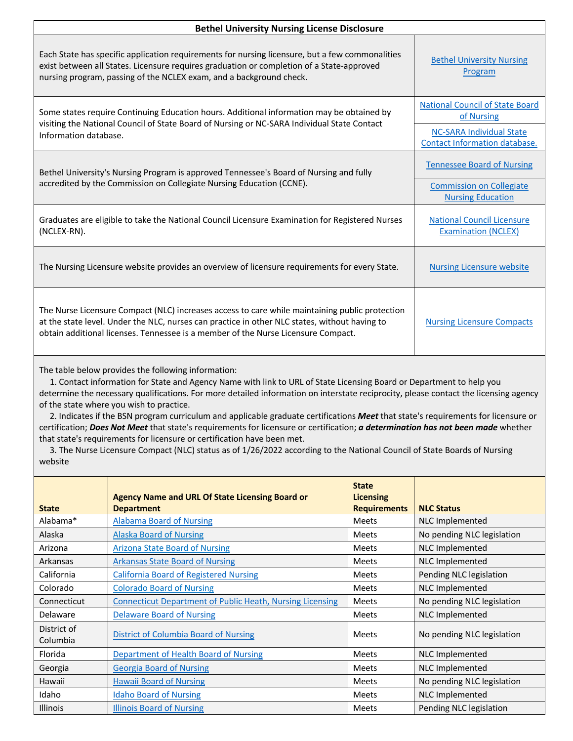| <b>Bethel University Nursing License Disclosure</b>                                                                                                                                                                                                                                                                                                                                                                                                                                                                                                                                                                                                                                                                                                                                                                                                        |                                                                             |                                                         |                                                                                                              |  |  |
|------------------------------------------------------------------------------------------------------------------------------------------------------------------------------------------------------------------------------------------------------------------------------------------------------------------------------------------------------------------------------------------------------------------------------------------------------------------------------------------------------------------------------------------------------------------------------------------------------------------------------------------------------------------------------------------------------------------------------------------------------------------------------------------------------------------------------------------------------------|-----------------------------------------------------------------------------|---------------------------------------------------------|--------------------------------------------------------------------------------------------------------------|--|--|
| Each State has specific application requirements for nursing licensure, but a few commonalities<br>exist between all States. Licensure requires graduation or completion of a State-approved<br>nursing program, passing of the NCLEX exam, and a background check.                                                                                                                                                                                                                                                                                                                                                                                                                                                                                                                                                                                        | <b>Bethel University Nursing</b><br>Program                                 |                                                         |                                                                                                              |  |  |
| Some states require Continuing Education hours. Additional information may be obtained by<br>visiting the National Council of State Board of Nursing or NC-SARA Individual State Contact<br>Information database.                                                                                                                                                                                                                                                                                                                                                                                                                                                                                                                                                                                                                                          |                                                                             |                                                         | <b>National Council of State Board</b><br>of Nursing<br><b>NC-SARA Individual State</b>                      |  |  |
| Bethel University's Nursing Program is approved Tennessee's Board of Nursing and fully<br>accredited by the Commission on Collegiate Nursing Education (CCNE).                                                                                                                                                                                                                                                                                                                                                                                                                                                                                                                                                                                                                                                                                             |                                                                             |                                                         | <b>Contact Information database.</b><br><b>Tennessee Board of Nursing</b><br><b>Commission on Collegiate</b> |  |  |
|                                                                                                                                                                                                                                                                                                                                                                                                                                                                                                                                                                                                                                                                                                                                                                                                                                                            |                                                                             |                                                         | <b>Nursing Education</b>                                                                                     |  |  |
| Graduates are eligible to take the National Council Licensure Examination for Registered Nurses<br>(NCLEX-RN).                                                                                                                                                                                                                                                                                                                                                                                                                                                                                                                                                                                                                                                                                                                                             |                                                                             |                                                         | <b>National Council Licensure</b><br><b>Examination (NCLEX)</b>                                              |  |  |
| The Nursing Licensure website provides an overview of licensure requirements for every State.                                                                                                                                                                                                                                                                                                                                                                                                                                                                                                                                                                                                                                                                                                                                                              |                                                                             |                                                         | <b>Nursing Licensure website</b>                                                                             |  |  |
| The Nurse Licensure Compact (NLC) increases access to care while maintaining public protection<br>at the state level. Under the NLC, nurses can practice in other NLC states, without having to<br>obtain additional licenses. Tennessee is a member of the Nurse Licensure Compact.                                                                                                                                                                                                                                                                                                                                                                                                                                                                                                                                                                       |                                                                             |                                                         | <b>Nursing Licensure Compacts</b>                                                                            |  |  |
| The table below provides the following information:<br>1. Contact information for State and Agency Name with link to URL of State Licensing Board or Department to help you<br>determine the necessary qualifications. For more detailed information on interstate reciprocity, please contact the licensing agency<br>of the state where you wish to practice.<br>2. Indicates if the BSN program curriculum and applicable graduate certifications Meet that state's requirements for licensure or<br>certification; Does Not Meet that state's requirements for licensure or certification; a determination has not been made whether<br>that state's requirements for licensure or certification have been met.<br>3. The Nurse Licensure Compact (NLC) status as of 1/26/2022 according to the National Council of State Boards of Nursing<br>website |                                                                             |                                                         |                                                                                                              |  |  |
| <b>State</b>                                                                                                                                                                                                                                                                                                                                                                                                                                                                                                                                                                                                                                                                                                                                                                                                                                               | <b>Agency Name and URL Of State Licensing Board or</b><br><b>Department</b> | <b>State</b><br><b>Licensing</b><br><b>Requirements</b> | <b>NLC Status</b>                                                                                            |  |  |
| Alabama*                                                                                                                                                                                                                                                                                                                                                                                                                                                                                                                                                                                                                                                                                                                                                                                                                                                   | <b>Alabama Board of Nursing</b>                                             | Meets                                                   | NLC Implemented                                                                                              |  |  |
| Alaska                                                                                                                                                                                                                                                                                                                                                                                                                                                                                                                                                                                                                                                                                                                                                                                                                                                     | <b>Alaska Board of Nursing</b>                                              | Meets                                                   | No pending NLC legislation                                                                                   |  |  |
| Arizona                                                                                                                                                                                                                                                                                                                                                                                                                                                                                                                                                                                                                                                                                                                                                                                                                                                    | <b>Arizona State Board of Nursing</b>                                       | Meets                                                   | NLC Implemented                                                                                              |  |  |
| Arkansas                                                                                                                                                                                                                                                                                                                                                                                                                                                                                                                                                                                                                                                                                                                                                                                                                                                   | <b>Arkansas State Board of Nursing</b>                                      | Meets                                                   | NLC Implemented                                                                                              |  |  |
| California                                                                                                                                                                                                                                                                                                                                                                                                                                                                                                                                                                                                                                                                                                                                                                                                                                                 | <b>California Board of Registered Nursing</b>                               | Meets                                                   | Pending NLC legislation                                                                                      |  |  |
| Colorado                                                                                                                                                                                                                                                                                                                                                                                                                                                                                                                                                                                                                                                                                                                                                                                                                                                   | <b>Colorado Board of Nursing</b>                                            | Meets                                                   | NLC Implemented                                                                                              |  |  |
| Connecticut                                                                                                                                                                                                                                                                                                                                                                                                                                                                                                                                                                                                                                                                                                                                                                                                                                                | <b>Connecticut Department of Public Heath, Nursing Licensing</b>            | Meets                                                   | No pending NLC legislation                                                                                   |  |  |
| Delaware                                                                                                                                                                                                                                                                                                                                                                                                                                                                                                                                                                                                                                                                                                                                                                                                                                                   | <b>Delaware Board of Nursing</b>                                            | Meets                                                   | <b>NLC Implemented</b>                                                                                       |  |  |
| District of<br>Columbia                                                                                                                                                                                                                                                                                                                                                                                                                                                                                                                                                                                                                                                                                                                                                                                                                                    | <b>District of Columbia Board of Nursing</b>                                | Meets                                                   | No pending NLC legislation                                                                                   |  |  |
| Florida                                                                                                                                                                                                                                                                                                                                                                                                                                                                                                                                                                                                                                                                                                                                                                                                                                                    | Department of Health Board of Nursing                                       | Meets                                                   | NLC Implemented                                                                                              |  |  |
| Georgia                                                                                                                                                                                                                                                                                                                                                                                                                                                                                                                                                                                                                                                                                                                                                                                                                                                    | <b>Georgia Board of Nursing</b>                                             | Meets                                                   | NLC Implemented                                                                                              |  |  |
| Hawaii                                                                                                                                                                                                                                                                                                                                                                                                                                                                                                                                                                                                                                                                                                                                                                                                                                                     | <b>Hawaii Board of Nursing</b>                                              | Meets                                                   | No pending NLC legislation                                                                                   |  |  |
| Idaho                                                                                                                                                                                                                                                                                                                                                                                                                                                                                                                                                                                                                                                                                                                                                                                                                                                      | <b>Idaho Board of Nursing</b>                                               | Meets                                                   | <b>NLC Implemented</b>                                                                                       |  |  |
| Illinois                                                                                                                                                                                                                                                                                                                                                                                                                                                                                                                                                                                                                                                                                                                                                                                                                                                   | <b>Illinois Board of Nursing</b>                                            | Meets                                                   | Pending NLC legislation                                                                                      |  |  |